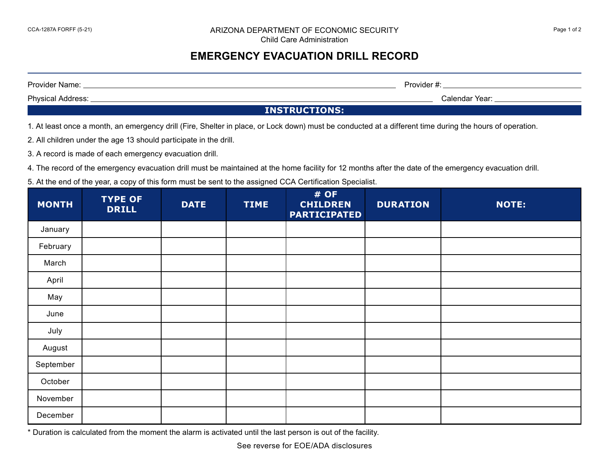## **EMERGENCY EVACUATION DRILL RECORD**

Provider Name: <u>Name: All and the Contract of Contract of Contract of Contract of Contract of Contract of Contract of Contract of Contract of Contract of Contract of Contract of Contract of Contract of Contract of Contract</u>

Physical Address: <u>Calendar Year: Calendar Year: Calendar Year: Calendar Year: Calendar Year: Calendar Year: Calendar Year: Calendar Year: Calendar Year: Calendar Year: Calendar Year: Calendar Year: Calendar Year: Calendar</u>

**INSTRUCTIONS:**

1. At least once a month, an emergency drill (Fire, Shelter in place, or Lock down) must be conducted at a different time during the hours of operation.

2. All children under the age 13 should participate in the drill.

3. A record is made of each emergency evacuation drill.

4. The record of the emergency evacuation drill must be maintained at the home facility for 12 months after the date of the emergency evacuation drill.

5. At the end of the year, a copy of this form must be sent to the assigned CCA Certification Specialist.

| <b>MONTH</b> | <b>TYPE OF</b><br><b>DRILL</b> | <b>DATE</b> | <b>TIME</b> | # OF<br><b>CHILDREN</b><br><b>PARTICIPATED</b> | <b>DURATION</b> | <b>NOTE:</b> |
|--------------|--------------------------------|-------------|-------------|------------------------------------------------|-----------------|--------------|
| January      |                                |             |             |                                                |                 |              |
| February     |                                |             |             |                                                |                 |              |
| March        |                                |             |             |                                                |                 |              |
| April        |                                |             |             |                                                |                 |              |
| May          |                                |             |             |                                                |                 |              |
| June         |                                |             |             |                                                |                 |              |
| July         |                                |             |             |                                                |                 |              |
| August       |                                |             |             |                                                |                 |              |
| September    |                                |             |             |                                                |                 |              |
| October      |                                |             |             |                                                |                 |              |
| November     |                                |             |             |                                                |                 |              |
| December     |                                |             |             |                                                |                 |              |

\* Duration is calculated from the moment the alarm is activated until the last person is out of the facility.